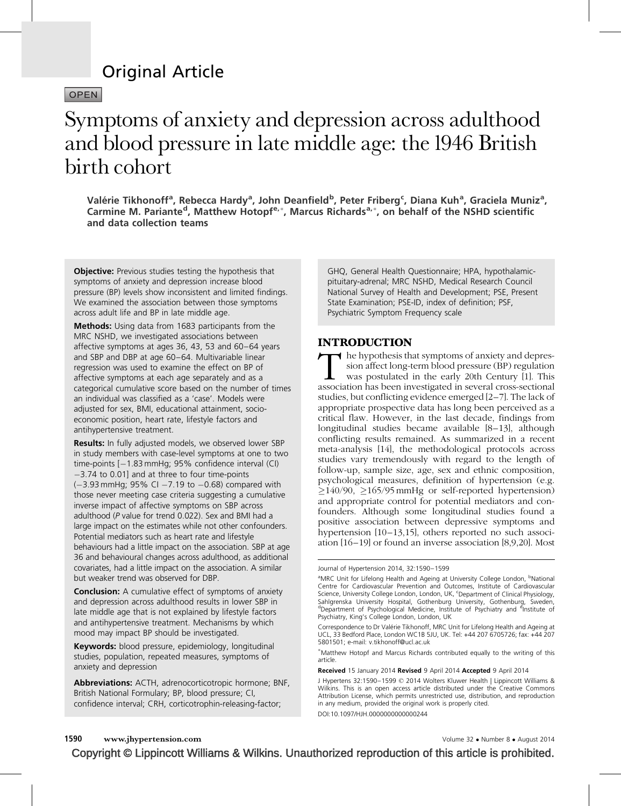## Original Article

OPEN

# Symptoms of anxiety and depression across adulthood and blood pressure in late middle age: the 1946 British birth cohort

Valérie Tikhonoff<sup>a</sup>, Rebecca Hardy<sup>a</sup>, John Deanfield<sup>b</sup>, Peter Friberg<sup>c</sup>, Diana Kuh<sup>a</sup>, Graciela Muniz<sup>a</sup>, Carmine M. Pariante<sup>d</sup>, Matthew Hotopf<sup>e,\*</sup>, Marcus Richards<sup>a,\*</sup>, on behalf of the NSHD scientific and data collection teams

**Objective:** Previous studies testing the hypothesis that symptoms of anxiety and depression increase blood pressure (BP) levels show inconsistent and limited findings. We examined the association between those symptoms across adult life and BP in late middle age.

Methods: Using data from 1683 participants from the MRC NSHD, we investigated associations between affective symptoms at ages 36, 43, 53 and 60–64 years and SBP and DBP at age 60–64. Multivariable linear regression was used to examine the effect on BP of affective symptoms at each age separately and as a categorical cumulative score based on the number of times an individual was classified as a 'case'. Models were adjusted for sex, BMI, educational attainment, socioeconomic position, heart rate, lifestyle factors and antihypertensive treatment.

Results: In fully adjusted models, we observed lower SBP in study members with case-level symptoms at one to two time-points [–1.83 mmHg; 95% confidence interval (CI) -3.74 to 0.01] and at three to four time-points (-3.93 mmHg; 95% CI -7.19 to -0.68) compared with those never meeting case criteria suggesting a cumulative inverse impact of affective symptoms on SBP across adulthood (P value for trend 0.022). Sex and BMI had a large impact on the estimates while not other confounders. Potential mediators such as heart rate and lifestyle behaviours had a little impact on the association. SBP at age 36 and behavioural changes across adulthood, as additional covariates, had a little impact on the association. A similar but weaker trend was observed for DBP.

**Conclusion:** A cumulative effect of symptoms of anxiety and depression across adulthood results in lower SBP in late middle age that is not explained by lifestyle factors and antihypertensive treatment. Mechanisms by which mood may impact BP should be investigated.

Keywords: blood pressure, epidemiology, longitudinal studies, population, repeated measures, symptoms of anxiety and depression

Abbreviations: ACTH, adrenocorticotropic hormone; BNF, British National Formulary; BP, blood pressure; CI, confidence interval; CRH, corticotrophin-releasing-factor;

GHQ, General Health Questionnaire; HPA, hypothalamicpituitary-adrenal; MRC NSHD, Medical Research Council National Survey of Health and Development; PSE, Present State Examination; PSE-ID, index of definition; PSF, Psychiatric Symptom Frequency scale

## INTRODUCTION

The hypothesis that symptoms of anxiety and depres-<br>sion affect long-term blood pressure (BP) regulation<br>was postulated in the early 20th Century [1]. This<br>association has been investigated in several cross-sectional sion affect long-term blood pressure (BP) regulation association has been investigated in several cross-sectional studies, but conflicting evidence emerged [\[2–7\].](#page-7-0) The lack of appropriate prospective data has long been perceived as a critical flaw. However, in the last decade, findings from longitudinal studies became available [\[8–13\]](#page-8-0), although conflicting results remained. As summarized in a recent meta-analysis [\[14\]](#page-8-0), the methodological protocols across studies vary tremendously with regard to the length of follow-up, sample size, age, sex and ethnic composition, psychological measures, definition of hypertension (e.g.  $\geq$ 140/90,  $\geq$ 165/95 mmHg or self-reported hypertension) and appropriate control for potential mediators and confounders. Although some longitudinal studies found a positive association between depressive symptoms and hypertension [\[10–13,15\]](#page-8-0), others reported no such association [\[16–19\]](#page-8-0) or found an inverse association [\[8,9,20\]](#page-8-0). Most

DOI:10.1097/HJH.0000000000000244

Journal of Hypertension 2014, 32:1590–1599

<sup>&</sup>lt;sup>a</sup>MRC Unit for Lifelong Health and Ageing at University College London, <sup>b</sup>National Centre for Cardiovascular Prevention and Outcomes, Institute of Cardiovascular Science, University College London, London, UK, <sup>c</sup>Department of Clinical Physiology,<br>Sahlgrenska University Hospital, Gothenburg University, Gothenburg, Sweden, <sup>d</sup>Department of Psychological Medicine, Institute of Psychiatry and <sup>e</sup>Institute of Psychiatry, King's College London, London, UK

Correspondence to Dr Valérie Tikhonoff, MRC Unit for Lifelong Health and Ageing at UCL, 33 Bedford Place, London WC1B 5JU, UK. Tel: +44 207 6705726; fax: +44 207 5801501; e-mail: [v.tikhonoff@ucl.ac.uk](mailto:v.tikhonoff@ucl.ac.uk)

Matthew Hotopf and Marcus Richards contributed equally to the writing of this article.

Received 15 January 2014 Revised 9 April 2014 Accepted 9 April 2014

J Hypertens 32:1590-1599 © 2014 Wolters Kluwer Health | Lippincott Williams & Wilkins. This is an open access article distributed under the Creative Commons Attribution License, which permits unrestricted use, distribution, and reproduction in any medium, provided the original work is properly cited.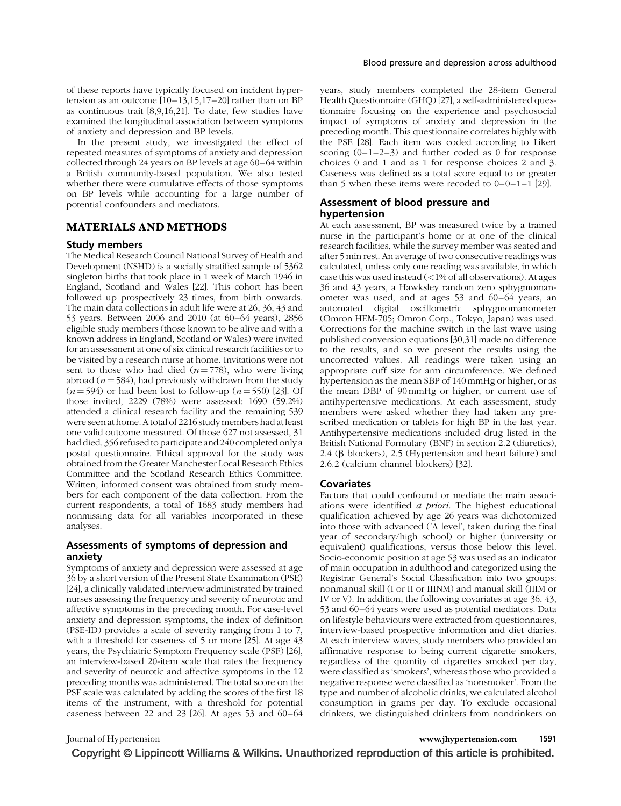of these reports have typically focused on incident hypertension as an outcome [\[10–13,15,17–20\]](#page-8-0) rather than on BP as continuous trait [\[8,9,16,21\].](#page-8-0) To date, few studies have examined the longitudinal association between symptoms of anxiety and depression and BP levels.

In the present study, we investigated the effect of repeated measures of symptoms of anxiety and depression collected through 24 years on BP levels at age 60–64 within a British community-based population. We also tested whether there were cumulative effects of those symptoms on BP levels while accounting for a large number of potential confounders and mediators.

## MATERIALS AND METHODS

#### Study members

The Medical Research Council National Survey of Health and Development (NSHD) is a socially stratified sample of 5362 singleton births that took place in 1 week of March 1946 in England, Scotland and Wales [\[22\].](#page-8-0) This cohort has been followed up prospectively 23 times, from birth onwards. The main data collections in adult life were at 26, 36, 43 and 53 years. Between 2006 and 2010 (at 60–64 years), 2856 eligible study members (those known to be alive and with a known address in England, Scotland or Wales) were invited for an assessment at one of six clinical research facilities or to be visited by a research nurse at home. Invitations were not sent to those who had died  $(n = 778)$ , who were living abroad ( $n = 584$ ), had previously withdrawn from the study  $(n = 594)$  or had been lost to follow-up  $(n = 550)$  [\[23\]](#page-8-0). Of those invited, 2229 (78%) were assessed: 1690 (59.2%) attended a clinical research facility and the remaining 539 were seen at home. A total of 2216 study members had at least one valid outcome measured. Of those 627 not assessed, 31 had died, 356 refused to participate and 240 completed only a postal questionnaire. Ethical approval for the study was obtained from the Greater Manchester Local Research Ethics Committee and the Scotland Research Ethics Committee. Written, informed consent was obtained from study members for each component of the data collection. From the current respondents, a total of 1683 study members had nonmissing data for all variables incorporated in these analyses.

#### Assessments of symptoms of depression and anxiety

Symptoms of anxiety and depression were assessed at age 36 by a short version of the Present State Examination (PSE) [\[24\],](#page-8-0) a clinically validated interview administrated by trained nurses assessing the frequency and severity of neurotic and affective symptoms in the preceding month. For case-level anxiety and depression symptoms, the index of definition (PSE-ID) provides a scale of severity ranging from 1 to 7, with a threshold for caseness of 5 or more [\[25\].](#page-8-0) At age 43 years, the Psychiatric Symptom Frequency scale (PSF) [\[26\],](#page-8-0) an interview-based 20-item scale that rates the frequency and severity of neurotic and affective symptoms in the 12 preceding months was administered. The total score on the PSF scale was calculated by adding the scores of the first 18 items of the instrument, with a threshold for potential caseness between 22 and 23 [\[26\]](#page-8-0). At ages 53 and 60–64

years, study members completed the 28-item General Health Questionnaire (GHQ) [\[27\],](#page-8-0) a self-administered questionnaire focusing on the experience and psychosocial impact of symptoms of anxiety and depression in the preceding month. This questionnaire correlates highly with the PSE [\[28\].](#page-8-0) Each item was coded according to Likert scoring  $(0-1-2-3)$  and further coded as 0 for response choices 0 and 1 and as 1 for response choices 2 and 3. Caseness was defined as a total score equal to or greater than 5 when these items were recoded to  $0-0-1-1$  [\[29\]](#page-8-0).

#### Assessment of blood pressure and hypertension

At each assessment, BP was measured twice by a trained nurse in the participant's home or at one of the clinical research facilities, while the survey member was seated and after 5 min rest. An average of two consecutive readings was calculated, unless only one reading was available, in which case this was used instead (<1% of all observations). At ages 36 and 43 years, a Hawksley random zero sphygmomanometer was used, and at ages 53 and 60–64 years, an automated digital oscillometric sphygmomanometer (Omron HEM-705; Omron Corp., Tokyo, Japan) was used. Corrections for the machine switch in the last wave using published conversion equations [\[30,31\]](#page-8-0) made no difference to the results, and so we present the results using the uncorrected values. All readings were taken using an appropriate cuff size for arm circumference. We defined hypertension as the mean SBP of 140 mmHg or higher, or as the mean DBP of 90 mmHg or higher, or current use of antihypertensive medications. At each assessment, study members were asked whether they had taken any prescribed medication or tablets for high BP in the last year. Antihypertensive medications included drug listed in the British National Formulary (BNF) in section 2.2 (diuretics), 2.4 (*b* blockers), 2.5 (Hypertension and heart failure) and 2.6.2 (calcium channel blockers) [\[32\].](#page-8-0)

#### **Covariates**

Factors that could confound or mediate the main associations were identified a priori. The highest educational qualification achieved by age 26 years was dichotomized into those with advanced ('A level', taken during the final year of secondary/high school) or higher (university or equivalent) qualifications, versus those below this level. Socio-economic position at age 53 was used as an indicator of main occupation in adulthood and categorized using the Registrar General's Social Classification into two groups: nonmanual skill (I or II or IIINM) and manual skill (IIIM or IV or V). In addition, the following covariates at age 36, 43, 53 and 60–64 years were used as potential mediators. Data on lifestyle behaviours were extracted from questionnaires, interview-based prospective information and diet diaries. At each interview waves, study members who provided an affirmative response to being current cigarette smokers, regardless of the quantity of cigarettes smoked per day, were classified as 'smokers', whereas those who provided a negative response were classified as 'nonsmoker'. From the type and number of alcoholic drinks, we calculated alcohol consumption in grams per day. To exclude occasional drinkers, we distinguished drinkers from nondrinkers on

Copyright © Lippincott Williams & Wilkins. Unauthorized reproduction of this article is prohibited. Journal of Hypertension www.jhypertension.com 1591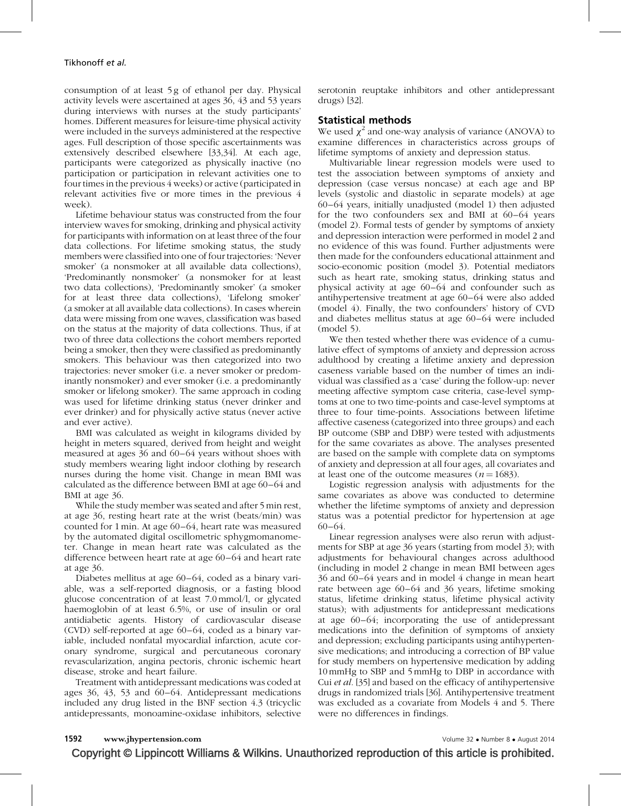consumption of at least 5 g of ethanol per day. Physical activity levels were ascertained at ages 36, 43 and 53 years during interviews with nurses at the study participants' homes. Different measures for leisure-time physical activity were included in the surveys administered at the respective ages. Full description of those specific ascertainments was extensively described elsewhere [\[33,34\].](#page-8-0) At each age, participants were categorized as physically inactive (no participation or participation in relevant activities one to four times in the previous 4 weeks) or active (participated in relevant activities five or more times in the previous 4 week).

Lifetime behaviour status was constructed from the four interview waves for smoking, drinking and physical activity for participants with information on at least three of the four data collections. For lifetime smoking status, the study members were classified into one of four trajectories: 'Never smoker' (a nonsmoker at all available data collections), 'Predominantly nonsmoker' (a nonsmoker for at least two data collections), 'Predominantly smoker' (a smoker for at least three data collections), 'Lifelong smoker' (a smoker at all available data collections). In cases wherein data were missing from one waves, classification was based on the status at the majority of data collections. Thus, if at two of three data collections the cohort members reported being a smoker, then they were classified as predominantly smokers. This behaviour was then categorized into two trajectories: never smoker (i.e. a never smoker or predominantly nonsmoker) and ever smoker (i.e. a predominantly smoker or lifelong smoker). The same approach in coding was used for lifetime drinking status (never drinker and ever drinker) and for physically active status (never active and ever active).

BMI was calculated as weight in kilograms divided by height in meters squared, derived from height and weight measured at ages 36 and 60–64 years without shoes with study members wearing light indoor clothing by research nurses during the home visit. Change in mean BMI was calculated as the difference between BMI at age 60–64 and BMI at age 36.

While the study member was seated and after 5 min rest, at age 36, resting heart rate at the wrist (beats/min) was counted for 1 min. At age 60–64, heart rate was measured by the automated digital oscillometric sphygmomanometer. Change in mean heart rate was calculated as the difference between heart rate at age 60–64 and heart rate at age 36.

Diabetes mellitus at age 60–64, coded as a binary variable, was a self-reported diagnosis, or a fasting blood glucose concentration of at least 7.0 mmol/l, or glycated haemoglobin of at least 6.5%, or use of insulin or oral antidiabetic agents. History of cardiovascular disease (CVD) self-reported at age 60–64, coded as a binary variable, included nonfatal myocardial infarction, acute coronary syndrome, surgical and percutaneous coronary revascularization, angina pectoris, chronic ischemic heart disease, stroke and heart failure.

Treatment with antidepressant medications was coded at ages 36, 43, 53 and 60–64. Antidepressant medications included any drug listed in the BNF section 4.3 (tricyclic antidepressants, monoamine-oxidase inhibitors, selective serotonin reuptake inhibitors and other antidepressant drugs) [\[32\].](#page-8-0)

#### Statistical methods

We used  $\chi^2$  and one-way analysis of variance (ANOVA) to examine differences in characteristics across groups of lifetime symptoms of anxiety and depression status.

Multivariable linear regression models were used to test the association between symptoms of anxiety and depression (case versus noncase) at each age and BP levels (systolic and diastolic in separate models) at age 60–64 years, initially unadjusted (model 1) then adjusted for the two confounders sex and BMI at 60–64 years (model 2). Formal tests of gender by symptoms of anxiety and depression interaction were performed in model 2 and no evidence of this was found. Further adjustments were then made for the confounders educational attainment and socio-economic position (model 3). Potential mediators such as heart rate, smoking status, drinking status and physical activity at age 60–64 and confounder such as antihypertensive treatment at age 60–64 were also added (model 4). Finally, the two confounders' history of CVD and diabetes mellitus status at age 60–64 were included (model 5).

We then tested whether there was evidence of a cumulative effect of symptoms of anxiety and depression across adulthood by creating a lifetime anxiety and depression caseness variable based on the number of times an individual was classified as a 'case' during the follow-up: never meeting affective symptom case criteria, case-level symptoms at one to two time-points and case-level symptoms at three to four time-points. Associations between lifetime affective caseness (categorized into three groups) and each BP outcome (SBP and DBP) were tested with adjustments for the same covariates as above. The analyses presented are based on the sample with complete data on symptoms of anxiety and depression at all four ages, all covariates and at least one of the outcome measures  $(n = 1683)$ .

Logistic regression analysis with adjustments for the same covariates as above was conducted to determine whether the lifetime symptoms of anxiety and depression status was a potential predictor for hypertension at age 60–64.

Linear regression analyses were also rerun with adjustments for SBP at age 36 years (starting from model 3); with adjustments for behavioural changes across adulthood (including in model 2 change in mean BMI between ages 36 and 60–64 years and in model 4 change in mean heart rate between age 60–64 and 36 years, lifetime smoking status, lifetime drinking status, lifetime physical activity status); with adjustments for antidepressant medications at age 60–64; incorporating the use of antidepressant medications into the definition of symptoms of anxiety and depression; excluding participants using antihypertensive medications; and introducing a correction of BP value for study members on hypertensive medication by adding 10 mmHg to SBP and 5 mmHg to DBP in accordance with Cui et al. [\[35\]](#page-8-0) and based on the efficacy of antihypertensive drugs in randomized trials [\[36\]](#page-8-0). Antihypertensive treatment was excluded as a covariate from Models 4 and 5. There were no differences in findings.

## **1592 www.jhypertension.com Volume 32 • Number 8 • August 2014**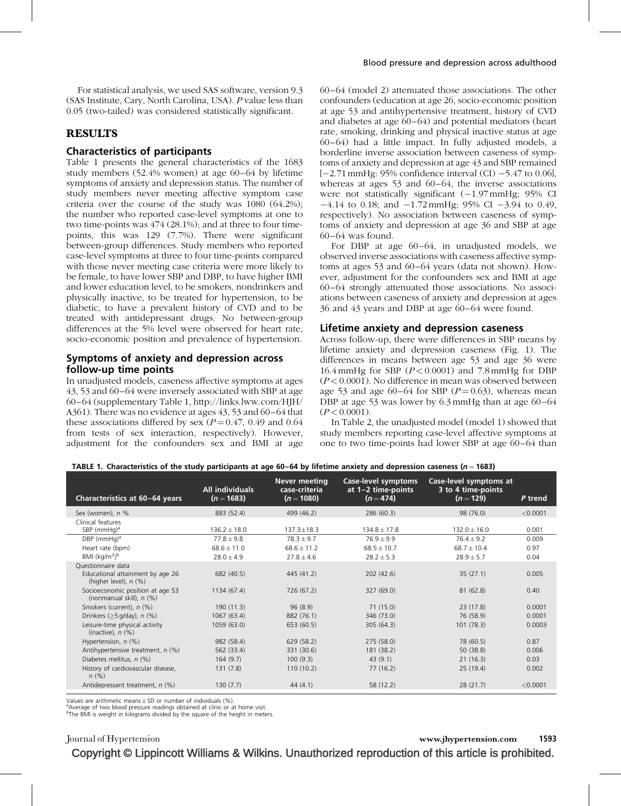For statistical analysis, we used SAS software, version 9.3 (SAS Institute, Cary, North Carolina, USA). P value less than 0.05 (two-tailed) was considered statistically significant.

## RESULTS

## Characteristics of participants

Table 1 presents the general characteristics of the 1683 study members (52.4% women) at age 60–64 by lifetime symptoms of anxiety and depression status. The number of study members never meeting affective symptom case criteria over the course of the study was 1080 (64.2%); the number who reported case-level symptoms at one to two time-points was 474 (28.1%); and at three to four timepoints, this was 129 (7.7%). There were significant between-group differences. Study members who reported case-level symptoms at three to four time-points compared with those never meeting case criteria were more likely to be female, to have lower SBP and DBP, to have higher BMI and lower education level, to be smokers, nondrinkers and physically inactive, to be treated for hypertension, to be diabetic, to have a prevalent history of CVD and to be treated with antidepressant drugs. No between-group differences at the 5% level were observed for heart rate, socio-economic position and prevalence of hypertension.

#### Symptoms of anxiety and depression across follow-up time points

In unadjusted models, caseness affective symptoms at ages 43, 53 and 60–64 were inversely associated with SBP at age 60–64 (supplementary Table 1, [http://links.lww.com/HJH/](http://links.lww.com/HJH/A361) [A361](http://links.lww.com/HJH/A361)). There was no evidence at ages 43, 53 and 60–64 that these associations differed by sex  $(P = 0.47, 0.49,$  and 0.64 from tests of sex interaction, respectively). However, adjustment for the confounders sex and BMI at age

60–64 (model 2) attenuated those associations. The other confounders (education at age 26, socio-economic position at age 53 and antihypertensive treatment, history of CVD and diabetes at age 60–64) and potential mediators (heart rate, smoking, drinking and physical inactive status at age 60–64) had a little impact. In fully adjusted models, a borderline inverse association between caseness of symptoms of anxiety and depression at age 43 and SBP remained [-2.71 mmHg: 95% confidence interval (CI) -5.47 to 0.06], whereas at ages 53 and 60–64, the inverse associations were not statistically significant (-1.97 mmHg; 95% CI  $-4.14$  to 0.18; and  $-1.72$  mmHg; 95% CI  $-3.94$  to 0.49, respectively). No association between caseness of symptoms of anxiety and depression at age 36 and SBP at age 60–64 was found.

For DBP at age 60–64, in unadjusted models, we observed inverse associations with caseness affective symptoms at ages 53 and 60–64 years (data not shown). However, adjustment for the confounders sex and BMI at age 60–64 strongly attenuated those associations. No associations between caseness of anxiety and depression at ages 36 and 43 years and DBP at age 60–64 were found.

#### Lifetime anxiety and depression caseness

Across follow-up, there were differences in SBP means by lifetime anxiety and depression caseness (Fig. 1). The differences in means between age 53 and age 36 were 16.4 mmHg for SBP  $(P< 0.0001)$  and 7.8 mmHg for DBP  $(P<0.0001)$ . No difference in mean was observed between age 53 and age 60–64 for SBP ( $P = 0.63$ ), whereas mean DBP at age 53 was lower by 6.3 mmHg than at age 60–64  $(P < 0.0001)$ .

In Table 2, the unadjusted model (model 1) showed that study members reporting case-level affective symptoms at one to two time-points had lower SBP at age 60–64 than

|  | TABLE 1. Characteristics of the study participants at age 60-64 by lifetime anxiety and depression caseness ( $n = 1683$ ) |
|--|----------------------------------------------------------------------------------------------------------------------------|
|--|----------------------------------------------------------------------------------------------------------------------------|

| Characteristics at 60-64 years                                 | All individuals<br>$(n = 1683)$ | Never meeting<br>case-criteria<br>$(n = 1080)$ | Case-level symptoms<br>at 1-2 time-points<br>$(n=474)$ | Case-level symptoms at<br>3 to 4 time-points<br>$(n = 129)$ | P trend  |
|----------------------------------------------------------------|---------------------------------|------------------------------------------------|--------------------------------------------------------|-------------------------------------------------------------|----------|
| Sex (women), n %                                               | 883 (52.4)                      | 499 (46.2)                                     | 286 (60.3)                                             | 98 (76.0)                                                   | < 0.0001 |
| Clinical features                                              |                                 |                                                |                                                        |                                                             |          |
| SBP $(mmHq)^a$                                                 | $136.2 \pm 18.0$                | $137.3 \pm 18.3$                               | $134.8 + 17.8$                                         | $132.0 + 16.0$                                              | 0.001    |
| DBP (mmHq) $^{\rm a}$                                          | $77.8 \pm 9.8$                  | $78.3 \pm 9.7$                                 | $76.9 \pm 9.9$                                         | $76.4 \pm 9.2$                                              | 0.009    |
| Heart rate (bpm)                                               | $68.6 \pm 11.0$                 | $68.6 \pm 11.2$                                | $68.5 \pm 10.7$                                        | $68.7 \pm 10.4$                                             | 0.97     |
| BMI $(kq/m2)b$                                                 | $28.0 \pm 4.9$                  | $27.8 \pm 4.6$                                 | $28.2 \pm 5.3$                                         | $28.9 \pm 5.7$                                              | 0.04     |
| Questionnaire data                                             |                                 |                                                |                                                        |                                                             |          |
| Educational attainment by age 26<br>(higher level), $n$ (%)    | 682 (40.5)                      | 445 (41.2)                                     | 202 (42.6)                                             | 35(27.1)                                                    | 0.005    |
| Socioeconomic position at age 53<br>(nonmanual skill), $n$ (%) | 1134 (67.4)                     | 726 (67.2)                                     | 327 (69.0)                                             | 81(62.8)                                                    | 0.40     |
| Smokers (current), n (%)                                       | 190(11.3)                       | 96(8.9)                                        | 71(15.0)                                               | 23(17.8)                                                    | 0.0001   |
| Drinkers ( $\geq$ 5 g/day), n (%)                              | 1067 (63.4)                     | 882 (76.1)                                     | 346 (73.0)                                             | 76 (58.9)                                                   | 0.0001   |
| Leisure-time physical activity<br>(inactive), $n$ $(\%)$       | 1059 (63.0)                     | 653 (60.5)                                     | 305(64.3)                                              | 101(78.3)                                                   | 0.0003   |
| Hypertension, $n$ (%)                                          | 982 (58.4)                      | 629(58.2)                                      | 275 (58.0)                                             | 78 (60.5)                                                   | 0.87     |
| Antihypertensive treatment, $n$ (%)                            | 562 (33.4)                      | 331 (30.6)                                     | 181 (38.2)                                             | 50(38.8)                                                    | 0.006    |
| Diabetes mellitus, $n$ (%)                                     | 164(9.7)                        | 100(9.3)                                       | 43(9.1)                                                | 21(16.3)                                                    | 0.03     |
| History of cardiovascular disease,<br>n(%)                     | 131(7.8)                        | 110(10.2)                                      | 77(16.2)                                               | 25(19.4)                                                    | 0.002    |
| Antidepressant treatment, $n$ (%)                              | 130(7.7)                        | 44(4.1)                                        | 58 (12.2)                                              | 28 (21.7)                                                   | < 0.0001 |

Values are arithmetic means  $\pm$  SD or number of individuals (%).

Average of two blood pressure readings obtained at clinic or at home visit.

<sup>b</sup>The BMI is weight in kilograms divided by the square of the height in meters.

Journal of Hypertension www.jhypertension.com 1593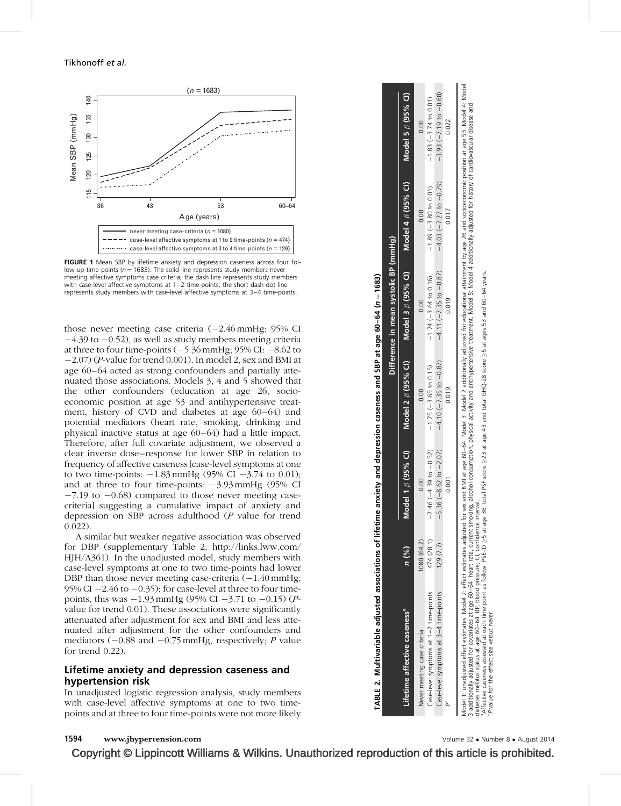



those never meeting case criteria (-2.46 mmHg; 95% CI -4.39 to -0.52), as well as study members meeting criteria at three to four time-points (-5.36 mmHg; 95% CI: -8.62 to -2.07) (P-value for trend 0.001). In model 2, sex and BMI at age 60–64 acted as strong confounders and partially attenuated those associations. Models 3, 4 and 5 showed that the other confounders (education at age 26, socioeconomic position at age 53 and antihypertensive treatment, history of CVD and diabetes at age 60–64) and potential mediators (heart rate, smoking, drinking and physical inactive status at age 60–64) had a little impact. Therefore, after full covariate adjustment, we observed a clear inverse dose– response for lower SBP in relation to frequency of affective caseness [case-level symptoms at one to two time-points:  $-1.83 \text{ mmHg}$  (95% CI  $-3.74$  to 0.01); and at three to four time-points: -3.93 mmHg (95% CI  $-7.19$  to  $-0.68$ ) compared to those never meeting casecriteria] suggesting a cumulative impact of anxiety and depression on SBP across adulthood (P value for trend 0.022). **Example 12**<br> **Example 12**<br> **Example 12**<br> **Example 12**<br> **Example 12**<br> **Example 12**<br> **Example 12**<br> **Example 12**<br> **Example 12**<br> **Example 12**<br> **Example 12**<br> **Example 12**<br> **Example 12**<br> **Example 12**<br> **Example 12**<br> **Example 12** 

A similar but weaker negative association was observed for DBP (supplementary Table 2, [http://links.lww.com/](http://links.lww.com/HJH/A361) [HJH/A361](http://links.lww.com/HJH/A361)). In the unadjusted model, study members with case-level symptoms at one to two time-points had lower DBP than those never meeting case-criteria  $(-1.40 \text{ mmHg})$ ;  $95\%$  CI  $-2.46$  to  $-0.35$ ); for case-level at three to four timepoints, this was  $-1.93$  mmHg (95% CI  $-3.71$  to  $-0.15$ ) (*P*value for trend 0.01). These associations were significantly attenuated after adjustment for sex and BMI and less attenuated after adjustment for the other confounders and mediators ( $-0.88$  and  $-0.75$  mmHg, respectively; P value for trend 0.22).

#### Lifetime anxiety and depression caseness and hypertension risk

In unadjusted logistic regression analysis, study members with case-level affective symptoms at one to two time-

|                                                                                                                                                                        |                     |                                        |                                | Difference in mean systolic BP (mmHg) |                                                                                                                                                                                                                                                                                                                   |                                 |
|------------------------------------------------------------------------------------------------------------------------------------------------------------------------|---------------------|----------------------------------------|--------------------------------|---------------------------------------|-------------------------------------------------------------------------------------------------------------------------------------------------------------------------------------------------------------------------------------------------------------------------------------------------------------------|---------------------------------|
| Lifetime affective caseness <sup>al</sup>                                                                                                                              | $n$ $\binom{96}{2}$ | Model 1 $\beta$ (95% CI)               | Model 2 $\beta$ (95% CI)       | Model 3 $\beta$ (95% CI)              | Model 4 $\beta$ (95% CI)                                                                                                                                                                                                                                                                                          | Model 5 $\beta$ (95% CI)        |
| Never meeting case criteria                                                                                                                                            | 1080 (64.2)         | 0.00                                   | 0.00                           | 0.00                                  | 0.00                                                                                                                                                                                                                                                                                                              | 0.00                            |
| Case-level symptoms at 1-2 time-points                                                                                                                                 | 474 (28.1)          | $(-4.39$ to $-0.52)$<br>$-2.46$        | $-1.75(-3.65$ to 0.15)         | $-1.74(-3.64 to 0.16)$                | $-1.89(-3.80 to 0.01)$                                                                                                                                                                                                                                                                                            | $-1.83(-3.74 \text{ to } 0.01)$ |
| Case-level symptoms at 3-4 time-points                                                                                                                                 | 129(7.7)            | $(-8.62 \text{ to } -2.07)$<br>$-5.36$ | $-4.10$ ( $-7.35$ to $-0.87$ ) | $-4.11$ ( $-7.35$ to $-0.87$ )        | $-4.03$ ( $-7.27$ to $-0.79$ )                                                                                                                                                                                                                                                                                    | $-3.93(-7.19$ to $-0.68$ )      |
|                                                                                                                                                                        |                     | 0.001                                  | 0.019                          | 0.019                                 | 0.017                                                                                                                                                                                                                                                                                                             | 0.022                           |
| Vlodel 1: unadjusted effect estimates. Model 2: effect estimates adjusted for sex<br>3 additionally adjusted for covariates at age 60-64: heart rate, current smoking, |                     |                                        |                                |                                       | and BMI at age 60-64. Model 3: Model 2 additionally adjusted for educational attainment by age 26 and socioeconomic position at age 53. Model 4: Model<br>alcohol consumption, physical activity and antihypertensive treatment. Model 5: Model 4 additionally adjusted for history of cardiovascular disease and |                                 |

diabetes mellitus status at age 60–64. BP, blood pressure; CI, confidence interval. diabetes م¢<br>P∕∉

confidence interval.<br>-ID ≥5 at age 36, total PSF score ≥23 at age 43 and total GHQ-28 score ≥5 at ages 53 and 60–64 years Affective caseness assessed at each time point as follow: PSE-ID 25 at age 36, total PSF score 223 and total GHQ-28 score 25 at ages 53 and 60–64 years. ressure; CI, c<br>follow: PSE-I mellitus status at age 60-64. BP, blood pressure;<br>e caseness assessed at each time point as follow: I value for the effect size versus never. versus never the effect size to<sup>r</sup> fective ralue 1

**1594 www.jhypertension.com Volume 32 • Number 8 • August 2014**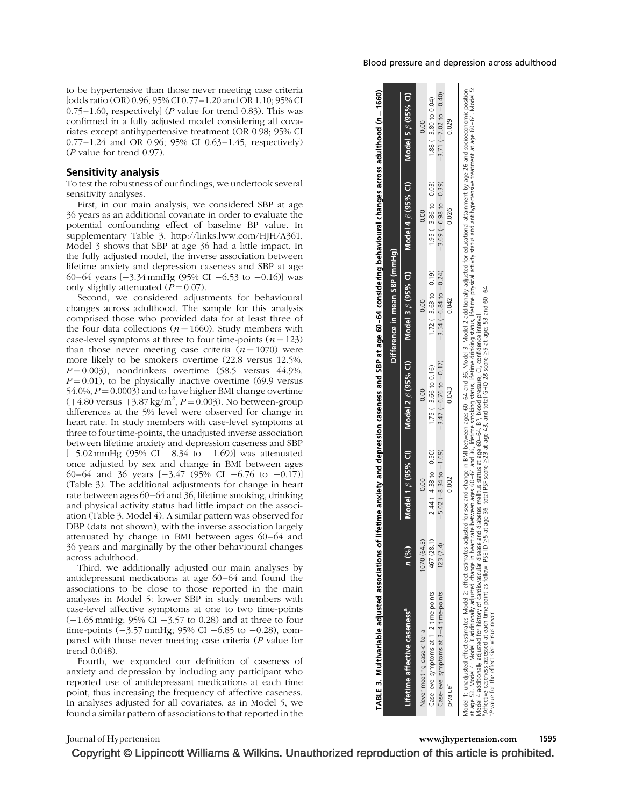to be hypertensive than those never meeting case criteria [odds ratio (OR) 0.96; 95% CI 0.77–1.20 and OR 1.10; 95% CI 0.75–1.60, respectively] ( $P$  value for trend 0.83). This was confirmed in a fully adjusted model considering all covariates except antihypertensive treatment (OR 0.98; 95% CI 0.77–1.24 and OR 0.96; 95% CI 0.63–1.45, respectively) (P value for trend 0.97).

#### Sensitivity analysis

To test the robustness of our findings, we undertook several sensitivity analyses.

First, in our main analysis, we considered SBP at age 36 years as an additional covariate in order to evaluate the potential confounding effect of baseline BP value. In supplementary Table 3, [http://links.lww.com/HJH/A361,](http://links.lww.com/HJH/A361) Model 3 shows that SBP at age 36 had a little impact. In the fully adjusted model, the inverse association between lifetime anxiety and depression caseness and SBP at age 60–64 years [-3.34 mmHg (95% CI -6.53 to -0.16)] was only slightly attenuated  $(P = 0.07)$ .

Second, we considered adjustments for behavioural changes across adulthood. The sample for this analysis comprised those who provided data for at least three of the four data collections ( $n = 1660$ ). Study members with case-level symptoms at three to four time-points  $(n = 123)$ than those never meeting case criteria  $(n = 1070)$  were more likely to be smokers overtime (22.8 versus 12.5%,  $P = 0.003$ ), nondrinkers overtime (58.5 versus 44.9%,  $P = 0.01$ ), to be physically inactive overtime (69.9 versus 54.0%,  $P = 0.0003$ ) and to have higher BMI change overtime  $(+4.80 \text{ versus } +3.87 \text{ kg/m}^2, P=0.003)$ . No between-group differences at the 5% level were observed for change in heart rate. In study members with case-level symptoms at three to four time-points, the unadjusted inverse association between lifetime anxiety and depression caseness and SBP  $[-5.02 \text{ mmHg} (95\% \text{ CI} -8.34 \text{ to } -1.69)]$  was attenuated once adjusted by sex and change in BMI between ages 60–64 and 36 years  $[-3.47 \ (95\% \ CI \ -6.76 \ to \ -0.17)]$ (Table 3). The additional adjustments for change in heart rate between ages 60–64 and 36, lifetime smoking, drinking and physical activity status had little impact on the association (Table 3, Model 4). A similar pattern was observed for DBP (data not shown), with the inverse association largely attenuated by change in BMI between ages 60–64 and 36 years and marginally by the other behavioural changes across adulthood.

Third, we additionally adjusted our main analyses by antidepressant medications at age 60–64 and found the associations to be close to those reported in the main analyses in Model 5: lower SBP in study members with case-level affective symptoms at one to two time-points  $(-1.65 \text{ mmHg}; 95\% \text{ CI} -3.57 \text{ to } 0.28)$  and at three to four time-points  $(-3.57 \text{ mmHg}; 95\% \text{ CI} -6.85 \text{ to } -0.28)$ , compared with those never meeting case criteria  $(P$  value for trend 0.048).

Fourth, we expanded our definition of caseness of anxiety and depression by including any participant who reported use of antidepressant medications at each time point, thus increasing the frequency of affective caseness. In analyses adjusted for all covariates, as in Model 5, we found a similar pattern of associations to that reported in the

| TABLE 3. Multivariable adjusted associations of lifetime                                                                                                                                                                                                                                                                                                                                                                                                                                                                                                                                                                                                                                                                                                                                                                                     |            |                                  |                               |                                | anxiety and depression caseness and SBP at age 60–64 considering behavioural changes across adulthood (n = 1660) |                                  |
|----------------------------------------------------------------------------------------------------------------------------------------------------------------------------------------------------------------------------------------------------------------------------------------------------------------------------------------------------------------------------------------------------------------------------------------------------------------------------------------------------------------------------------------------------------------------------------------------------------------------------------------------------------------------------------------------------------------------------------------------------------------------------------------------------------------------------------------------|------------|----------------------------------|-------------------------------|--------------------------------|------------------------------------------------------------------------------------------------------------------|----------------------------------|
|                                                                                                                                                                                                                                                                                                                                                                                                                                                                                                                                                                                                                                                                                                                                                                                                                                              |            |                                  |                               | Difference in mean SBP (mmHg)  |                                                                                                                  |                                  |
| Lifetime affective caseness <sup>a</sup>                                                                                                                                                                                                                                                                                                                                                                                                                                                                                                                                                                                                                                                                                                                                                                                                     | n (%)      | del 1 $\beta$ (95% Cl)<br>ŏ<br>Σ | Model 2 $\beta$ (95% Cl) $\,$ | Model 3 $\beta$ (95% CI)       | Model 4 $\beta$ (95% Cl)                                                                                         | Model 5 $\beta$ (95% Cl)         |
| Never meeting case-criteria                                                                                                                                                                                                                                                                                                                                                                                                                                                                                                                                                                                                                                                                                                                                                                                                                  | 070 (64.5) | 0.00                             | 0.00                          | 0.00                           | 0.00                                                                                                             | 0.00                             |
| Case-level symptoms at 1-2 time-points                                                                                                                                                                                                                                                                                                                                                                                                                                                                                                                                                                                                                                                                                                                                                                                                       | 467 (28.1) | $-2.44(-4.38$ to $-0.50$ )       | $-1.75(-3.66$ to 0.16)        | $-1.72$ ( $-3.63$ to $-0.19$ ) | $-1.95(-3.86 to -0.03)$                                                                                          | $-1.88(-3.80)$ to 0.04)          |
| Case-level symptoms at 3-4 time-points                                                                                                                                                                                                                                                                                                                                                                                                                                                                                                                                                                                                                                                                                                                                                                                                       | 123(7.4)   | $-5.02$ $(-8.34$ to $-1.69)$     | $-3.47$ (-6.76 to $-0.17$ )   | $-3.54 (-6.84 to -0.24)$       | $-3.69(-6.98 \text{ to } -0.39)$                                                                                 | $-3.71(-7.02 \text{ to } -0.40)$ |
| p-value <sup>*</sup>                                                                                                                                                                                                                                                                                                                                                                                                                                                                                                                                                                                                                                                                                                                                                                                                                         |            | 0.002                            | 0.043                         | 0.042                          | 0.026                                                                                                            | 0.029                            |
| at age 53. Model 4: Model 3 additionally adjusted change in heart rate between ages 60–64 and 36, lifetime stratus, lifetime drinking status, lifetime physical activity status and antihypertensive treatment at age 60–64. M<br>Model 1: unadjusted effect estimates. Model 2: effect estimates adjusted for sex and change in BMI between ages 60-64 and 36. Model 3: Model 3: dditionally adjusted for educational attainment by age 26 and socioeconomic po<br>Affective caseness assessed at each time point as follow: PSE-ID ≥5 at age 36, total PSF score ≥23 at age 43, and total GHQ-28 score ≥5 at ages 53 and 60-64.<br>Model 4 additionally adjusted for history of cardiovascular disease and diabetes mellitus status at age 60–64. BP, blood pressure; CI, confidence interval.<br>P value for the effect size versus never |            |                                  |                               |                                |                                                                                                                  |                                  |

Journal of Hypertension www.jhypertension.com 1595

 $\mathcal{L}_*$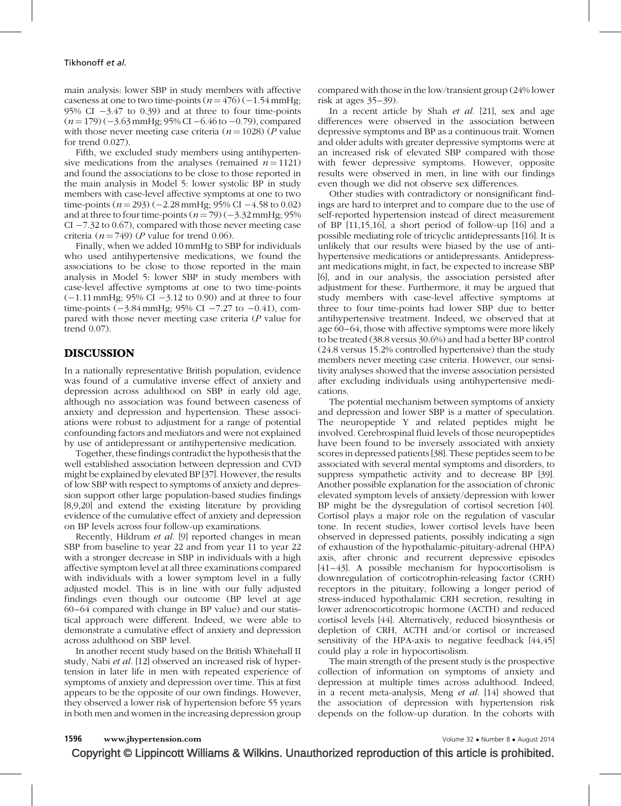main analysis: lower SBP in study members with affective caseness at one to two time-points  $(n = 476) (-1.54 \text{ mmHg};$  $95\%$  CI  $-3.47$  to 0.39) and at three to four time-points  $(n = 179) (-3.63 \text{ mmHg}; 95\% \text{ CI} - 6.46 \text{ to } -0.79)$ , compared with those never meeting case criteria ( $n = 1028$ ) (P value for trend 0.027).

Fifth, we excluded study members using antihypertensive medications from the analyses (remained  $n = 1121$ ) and found the associations to be close to those reported in the main analysis in Model 5: lower systolic BP in study members with case-level affective symptoms at one to two time-points  $(n = 293) (-2.28 \text{ mmHg}; 95\% \text{ CI} - 4.58 \text{ to } 0.02)$ and at three to four time-points ( $n = 79$ ) ( $-3.32$  mmHg; 95%  $CI$   $-7.32$  to 0.67), compared with those never meeting case criteria ( $n = 749$ ) (P value for trend 0.06).

Finally, when we added 10 mmHg to SBP for individuals who used antihypertensive medications, we found the associations to be close to those reported in the main analysis in Model 5: lower SBP in study members with case-level affective symptoms at one to two time-points  $(-1.11 \text{ mmHg}; 95\% \text{ CI} -3.12 \text{ to } 0.90)$  and at three to four time-points  $(-3.84 \text{ mmHg}; 95\% \text{ CI} -7.27 \text{ to } -0.41)$ , compared with those never meeting case criteria  $(P$  value for trend 0.07).

#### DISCUSSION

In a nationally representative British population, evidence was found of a cumulative inverse effect of anxiety and depression across adulthood on SBP in early old age, although no association was found between caseness of anxiety and depression and hypertension. These associations were robust to adjustment for a range of potential confounding factors and mediators and were not explained by use of antidepressant or antihypertensive medication.

Together, these findings contradict the hypothesis that the well established association between depression and CVD might be explained by elevated BP [\[37\].](#page-8-0) However, the results of low SBP with respect to symptoms of anxiety and depression support other large population-based studies findings [\[8,9,20\]](#page-8-0) and extend the existing literature by providing evidence of the cumulative effect of anxiety and depression on BP levels across four follow-up examinations.

Recently, Hildrum et al. [\[9\]](#page-8-0) reported changes in mean SBP from baseline to year 22 and from year 11 to year 22 with a stronger decrease in SBP in individuals with a high affective symptom level at all three examinations compared with individuals with a lower symptom level in a fully adjusted model. This is in line with our fully adjusted findings even though our outcome (BP level at age 60–64 compared with change in BP value) and our statistical approach were different. Indeed, we were able to demonstrate a cumulative effect of anxiety and depression across adulthood on SBP level.

In another recent study based on the British Whitehall II study, Nabi et al. [\[12\]](#page-8-0) observed an increased risk of hypertension in later life in men with repeated experience of symptoms of anxiety and depression over time. This at first appears to be the opposite of our own findings. However, they observed a lower risk of hypertension before 55 years in both men and women in the increasing depression group

compared with those in the low/transient group (24% lower risk at ages 35–39).

In a recent article by Shah et al. [\[21\],](#page-8-0) sex and age differences were observed in the association between depressive symptoms and BP as a continuous trait. Women and older adults with greater depressive symptoms were at an increased risk of elevated SBP compared with those with fewer depressive symptoms. However, opposite results were observed in men, in line with our findings even though we did not observe sex differences.

Other studies with contradictory or nonsignificant findings are hard to interpret and to compare due to the use of self-reported hypertension instead of direct measurement of BP [\[11,15,16\]](#page-8-0), a short period of follow-up [\[16\]](#page-8-0) and a possible mediating role of tricyclic antidepressants [\[16\]](#page-8-0). It is unlikely that our results were biased by the use of antihypertensive medications or antidepressants. Antidepressant medications might, in fact, be expected to increase SBP [\[6\]](#page-8-0), and in our analysis, the association persisted after adjustment for these. Furthermore, it may be argued that study members with case-level affective symptoms at three to four time-points had lower SBP due to better antihypertensive treatment. Indeed, we observed that at age 60–64, those with affective symptoms were more likely to be treated (38.8 versus 30.6%) and had a better BP control (24.8 versus 15.2% controlled hypertensive) than the study members never meeting case criteria. However, our sensitivity analyses showed that the inverse association persisted after excluding individuals using antihypertensive medications.

The potential mechanism between symptoms of anxiety and depression and lower SBP is a matter of speculation. The neuropeptide Y and related peptides might be involved. Cerebrospinal fluid levels of those neuropeptides have been found to be inversely associated with anxiety scores in depressed patients [\[38\]](#page-8-0). These peptides seem to be associated with several mental symptoms and disorders, to suppress sympathetic activity and to decrease BP [\[39\]](#page-8-0). Another possible explanation for the association of chronic elevated symptom levels of anxiety/depression with lower BP might be the dysregulation of cortisol secretion [\[40\]](#page-8-0). Cortisol plays a major role on the regulation of vascular tone. In recent studies, lower cortisol levels have been observed in depressed patients, possibly indicating a sign of exhaustion of the hypothalamic-pituitary-adrenal (HPA) axis, after chronic and recurrent depressive episodes [\[41–43\].](#page-8-0) A possible mechanism for hypocortisolism is downregulation of corticotrophin-releasing factor (CRH) receptors in the pituitary, following a longer period of stress-induced hypothalamic CRH secretion, resulting in lower adrenocorticotropic hormone (ACTH) and reduced cortisol levels [\[44\].](#page-8-0) Alternatively, reduced biosynthesis or depletion of CRH, ACTH and/or cortisol or increased sensitivity of the HPA-axis to negative feedback [\[44,45\]](#page-8-0) could play a role in hypocortisolism.

The main strength of the present study is the prospective collection of information on symptoms of anxiety and depression at multiple times across adulthood. Indeed, in a recent meta-analysis, Meng et al. [\[14\]](#page-8-0) showed that the association of depression with hypertension risk depends on the follow-up duration. In the cohorts with

**1596 www.jhypertension.com Volume 32 • Number 8 • August 2014**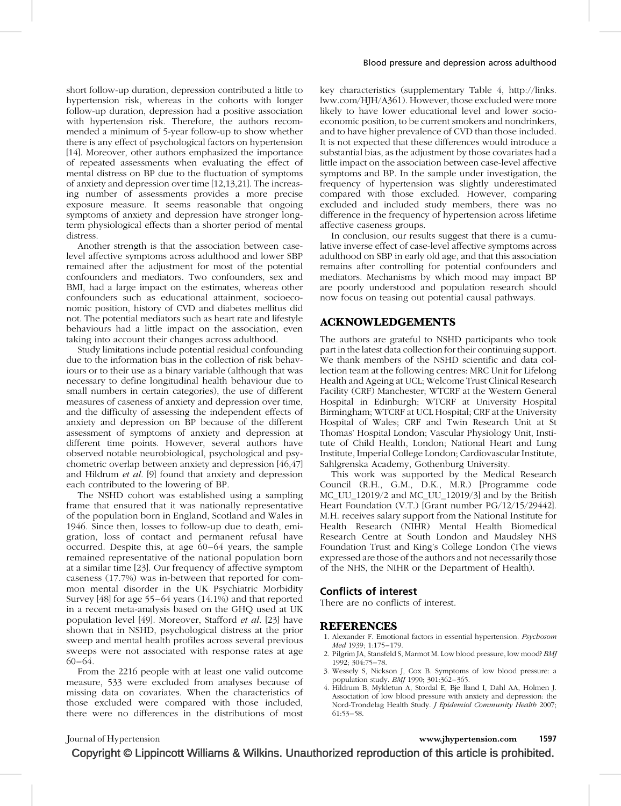<span id="page-7-0"></span>short follow-up duration, depression contributed a little to hypertension risk, whereas in the cohorts with longer follow-up duration, depression had a positive association with hypertension risk. Therefore, the authors recommended a minimum of 5-year follow-up to show whether there is any effect of psychological factors on hypertension [\[14\].](#page-8-0) Moreover, other authors emphasized the importance of repeated assessments when evaluating the effect of mental distress on BP due to the fluctuation of symptoms of anxiety and depression over time [\[12,13,21\].](#page-8-0) The increasing number of assessments provides a more precise exposure measure. It seems reasonable that ongoing symptoms of anxiety and depression have stronger longterm physiological effects than a shorter period of mental distress.

Another strength is that the association between caselevel affective symptoms across adulthood and lower SBP remained after the adjustment for most of the potential confounders and mediators. Two confounders, sex and BMI, had a large impact on the estimates, whereas other confounders such as educational attainment, socioeconomic position, history of CVD and diabetes mellitus did not. The potential mediators such as heart rate and lifestyle behaviours had a little impact on the association, even taking into account their changes across adulthood.

Study limitations include potential residual confounding due to the information bias in the collection of risk behaviours or to their use as a binary variable (although that was necessary to define longitudinal health behaviour due to small numbers in certain categories), the use of different measures of caseness of anxiety and depression over time, and the difficulty of assessing the independent effects of anxiety and depression on BP because of the different assessment of symptoms of anxiety and depression at different time points. However, several authors have observed notable neurobiological, psychological and psychometric overlap between anxiety and depression [\[46,47\]](#page-8-0) and Hildrum et al. [\[9\]](#page-8-0) found that anxiety and depression each contributed to the lowering of BP.

The NSHD cohort was established using a sampling frame that ensured that it was nationally representative of the population born in England, Scotland and Wales in 1946. Since then, losses to follow-up due to death, emigration, loss of contact and permanent refusal have occurred. Despite this, at age 60–64 years, the sample remained representative of the national population born at a similar time [\[23\].](#page-8-0) Our frequency of affective symptom caseness (17.7%) was in-between that reported for common mental disorder in the UK Psychiatric Morbidity Survey [\[48\]](#page-8-0) for age 55–64 years (14.1%) and that reported in a recent meta-analysis based on the GHQ used at UK population level [\[49\]](#page-8-0). Moreover, Stafford et al. [\[23\]](#page-8-0) have shown that in NSHD, psychological distress at the prior sweep and mental health profiles across several previous sweeps were not associated with response rates at age 60–64.

From the 2216 people with at least one valid outcome measure, 533 were excluded from analyses because of missing data on covariates. When the characteristics of those excluded were compared with those included, there were no differences in the distributions of most

key characteristics (supplementary Table 4, [http://links.](http://links.lww.com/HJH/A361) [lww.com/HJH/A361\)](http://links.lww.com/HJH/A361). However, those excluded were more likely to have lower educational level and lower socioeconomic position, to be current smokers and nondrinkers, and to have higher prevalence of CVD than those included. It is not expected that these differences would introduce a substantial bias, as the adjustment by those covariates had a little impact on the association between case-level affective symptoms and BP. In the sample under investigation, the frequency of hypertension was slightly underestimated compared with those excluded. However, comparing excluded and included study members, there was no difference in the frequency of hypertension across lifetime affective caseness groups.

In conclusion, our results suggest that there is a cumulative inverse effect of case-level affective symptoms across adulthood on SBP in early old age, and that this association remains after controlling for potential confounders and mediators. Mechanisms by which mood may impact BP are poorly understood and population research should now focus on teasing out potential causal pathways.

#### ACKNOWLEDGEMENTS

The authors are grateful to NSHD participants who took part in the latest data collection for their continuing support. We thank members of the NSHD scientific and data collection team at the following centres: MRC Unit for Lifelong Health and Ageing at UCL; Welcome Trust Clinical Research Facility (CRF) Manchester; WTCRF at the Western General Hospital in Edinburgh; WTCRF at University Hospital Birmingham; WTCRF at UCL Hospital; CRF at the University Hospital of Wales; CRF and Twin Research Unit at St Thomas' Hospital London; Vascular Physiology Unit, Institute of Child Health, London; National Heart and Lung Institute, Imperial College London; Cardiovascular Institute, Sahlgrenska Academy, Gothenburg University.

This work was supported by the Medical Research Council (R.H., G.M., D.K., M.R.) [Programme code MC\_UU\_12019/2 and MC\_UU\_12019/3] and by the British Heart Foundation (V.T.) [Grant number PG/12/15/29442]. M.H. receives salary support from the National Institute for Health Research (NIHR) Mental Health Biomedical Research Centre at South London and Maudsley NHS Foundation Trust and King's College London (The views expressed are those of the authors and not necessarily those of the NHS, the NIHR or the Department of Health).

#### Conflicts of interest

There are no conflicts of interest.

#### REFERENCES

- 1. Alexander F. Emotional factors in essential hypertension. Psychosom Med 1939; 1:175–179.
- 2. Pilgrim JA, Stansfeld S, Marmot M. Low blood pressure, low mood? BMJ 1992; 304:75–78.
- 3. Wessely S, Nickson J, Cox B. Symptoms of low blood pressure: a population study. BMJ 1990; 301:362–365.
- 4. Hildrum B, Mykletun A, Stordal E, Bje lland I, Dahl AA, Holmen J. Association of low blood pressure with anxiety and depression: the Nord-Trondelag Health Study. J Epidemiol Community Health 2007; 61:53–58.

Journal of Hypertension www.jhypertension.com 1597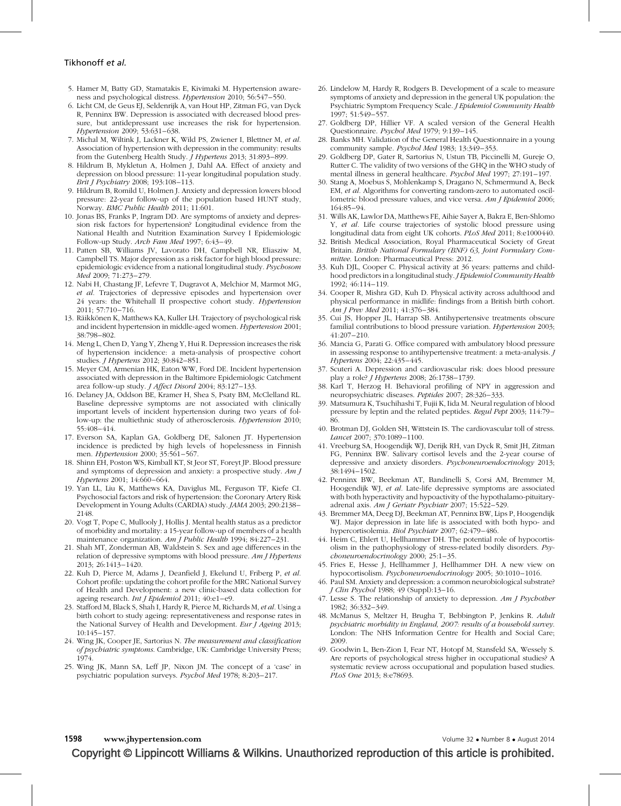#### <span id="page-8-0"></span>Tikhonoff et al.

- 5. Hamer M, Batty GD, Stamatakis E, Kivimaki M. Hypertension awareness and psychological distress. Hypertension 2010; 56:547–550.
- 6. Licht CM, de Geus EJ, Seldenrijk A, van Hout HP, Zitman FG, van Dyck R, Penninx BW. Depression is associated with decreased blood pressure, but antidepressant use increases the risk for hypertension. Hypertension 2009; 53:631–638.
- 7. Michal M, Wiltink J, Lackner K, Wild PS, Zwiener I, Blettner M, et al. Association of hypertension with depression in the community: results from the Gutenberg Health Study. J Hypertens 2013; 31:893–899.
- 8. Hildrum B, Mykletun A, Holmen J, Dahl AA. Effect of anxiety and depression on blood pressure: 11-year longitudinal population study. Brit J Psychiatry 2008; 193:108–113.
- 9. Hildrum B, Romild U, Holmen J. Anxiety and depression lowers blood pressure: 22-year follow-up of the population based HUNT study, Norway. BMC Public Health 2011; 11:601.
- 10. Jonas BS, Franks P, Ingram DD. Are symptoms of anxiety and depression risk factors for hypertension? Longitudinal evidence from the National Health and Nutrition Examination Survey I Epidemiologic Follow-up Study. Arch Fam Med 1997; 6:43–49.
- 11. Patten SB, Williams JV, Lavorato DH, Campbell NR, Eliasziw M, Campbell TS. Major depression as a risk factor for high blood pressure: epidemiologic evidence from a national longitudinal study. Psychosom Med 2009; 71:273–279.
- 12. Nabi H, Chastang JF, Lefevre T, Dugravot A, Melchior M, Marmot MG, et al. Trajectories of depressive episodes and hypertension over 24 years: the Whitehall II prospective cohort study. Hypertension 2011; 57:710–716.
- 13. Räikkönen K, Matthews KA, Kuller LH. Trajectory of psychological risk and incident hypertension in middle-aged women. Hypertension 2001; 38:798–802.
- 14. Meng L, Chen D, Yang Y, Zheng Y, Hui R. Depression increases the risk of hypertension incidence: a meta-analysis of prospective cohort studies. J Hypertens 2012; 30:842–851.
- 15. Meyer CM, Armenian HK, Eaton WW, Ford DE. Incident hypertension associated with depression in the Baltimore Epidemiologic Catchment area follow-up study. J Affect Disord 2004; 83:127–133.
- 16. Delaney JA, Oddson BE, Kramer H, Shea S, Psaty BM, McClelland RL. Baseline depressive symptoms are not associated with clinically important levels of incident hypertension during two years of follow-up: the multiethnic study of atherosclerosis. Hypertension 2010; 55:408–414.
- 17. Everson SA, Kaplan GA, Goldberg DE, Salonen JT. Hypertension incidence is predicted by high levels of hopelessness in Finnish men. Hypertension 2000; 35:561–567.
- 18. Shinn EH, Poston WS, Kimball KT, St Jeor ST, Foreyt JP. Blood pressure and symptoms of depression and anxiety: a prospective study. Am J Hypertens 2001; 14:660–664.
- 19. Yan LL, Liu K, Matthews KA, Daviglus ML, Ferguson TF, Kiefe CI. Psychosocial factors and risk of hypertension: the Coronary Artery Risk Development in Young Adults (CARDIA) study. JAMA 2003; 290:2138– 2148.
- 20. Vogt T, Pope C, Mullooly J, Hollis J. Mental health status as a predictor of morbidity and mortality: a 15-year follow-up of members of a health maintenance organization. Am J Public Health 1994; 84:227–231.
- 21. Shah MT, Zonderman AB, Waldstein S. Sex and age differences in the relation of depressive symptoms with blood pressure. Am J Hypertens 2013; 26:1413–1420.
- 22. Kuh D, Pierce M, Adams J, Deanfield J, Ekelund U, Friberg P, et al. Cohort profile: updating the cohort profile for the MRC National Survey of Health and Development: a new clinic-based data collection for ageing research. Int J Epidemiol 2011; 40:e1–e9.
- 23. Stafford M, Black S, Shah I, Hardy R, Pierce M, Richards M, et al. Using a birth cohort to study ageing: representativeness and response rates in the National Survey of Health and Development. Eur J Ageing 2013; 10:145–157.
- 24. Wing JK, Cooper JE, Sartorius N. The measurement and classification of psychiatric symptoms. Cambridge, UK: Cambridge University Press; 1974.
- 25. Wing JK, Mann SA, Leff JP, Nixon JM. The concept of a 'case' in psychiatric population surveys. Psychol Med 1978; 8:203–217.
- 26. Lindelow M, Hardy R, Rodgers B. Development of a scale to measure symptoms of anxiety and depression in the general UK population: the Psychiatric Symptom Frequency Scale. J Epidemiol Community Health 1997; 51:549–557.
- 27. Goldberg DP, Hillier VF. A scaled version of the General Health Questionnaire. Psychol Med 1979; 9:139–145.
- 28. Banks MH. Validation of the General Health Questionnaire in a young community sample. Psychol Med 1983; 13:349–353.
- 29. Goldberg DP, Gater R, Sartorius N, Ustun TB, Piccinelli M, Gureje O, Rutter C. The validity of two versions of the GHQ in the WHO study of mental illness in general healthcare. Psychol Med 1997; 27:191–197.
- 30. Stang A, Moebus S, Mohlenkamp S, Dragano N, Schmermund A, Beck EM, et al. Algorithms for converting random-zero to automated oscillometric blood pressure values, and vice versa. Am J Epidemiol 2006; 164:85–94.
- 31. Wills AK, Lawlor DA, Matthews FE, Aihie Sayer A, Bakra E, Ben-Shlomo Y, et al. Life course trajectories of systolic blood pressure using longitudinal data from eight UK cohorts. PLoS Med 2011; 8:e1000440.
- 32. British Medical Association, Royal Pharmaceutical Society of Great Britain. British National Formulary (BNF) 63, Joint Formulary Committee. London: Pharmaceutical Press: 2012.
- 33. Kuh DJL, Cooper C. Physical activity at 36 years: patterns and childhood predictors in a longitudinal study. *J Epidemiol Community Health* 1992; 46:114–119.
- 34. Cooper R, Mishra GD, Kuh D. Physical activity across adulthood and physical performance in midlife: findings from a British birth cohort. Am J Prev Med 2011; 41:376–384.
- 35. Cui JS, Hopper JL, Harrap SB. Antihypertensive treatments obscure familial contributions to blood pressure variation. Hypertension 2003; 41:207–210.
- 36. Mancia G, Parati G. Office compared with ambulatory blood pressure in assessing response to antihypertensive treatment: a meta-analysis. J Hypertens 2004; 22:435–445.
- 37. Scuteri A. Depression and cardiovascular risk: does blood pressure play a role? J Hypertens 2008; 26:1738–1739.
- 38. Karl T, Herzog H. Behavioral profiling of NPY in aggression and neuropsychiatric diseases. Peptides 2007; 28:326–333.
- 39. Matsumura K, Tsuchihashi T, Fujii K, Iida M. Neural regulation of blood pressure by leptin and the related peptides. Regul Pept 2003; 114:79– 86.
- 40. Brotman DJ, Golden SH, Wittstein IS. The cardiovascular toll of stress. Lancet 2007; 370:1089–1100.
- 41. Vreeburg SA, Hoogendijk WJ, Derijk RH, van Dyck R, Smit JH, Zitman FG, Penninx BW. Salivary cortisol levels and the 2-year course of depressive and anxiety disorders. Psychoneuroendocrinology 2013; 38:1494–1502.
- 42. Penninx BW, Beekman AT, Bandinelli S, Corsi AM, Bremmer M, Hoogendijk WJ, et al. Late-life depressive symptoms are associated with both hyperactivity and hypoactivity of the hypothalamo-pituitaryadrenal axis. Am J Geriatr Psychiatr 2007; 15:522–529.
- 43. Bremmer MA, Deeg DJ, Beekman AT, Penninx BW, Lips P, Hoogendijk WJ. Major depression in late life is associated with both hypo- and hypercortisolemia. Biol Psychiatr 2007; 62:479–486.
- 44. Heim C, Ehlert U, Hellhammer DH. The potential role of hypocortisolism in the pathophysiology of stress-related bodily disorders. Psychoneuroendocrinology 2000; 25:1-35.
- 45. Fries E, Hesse J, Hellhammer J, Hellhammer DH. A new view on hypocortisolism. Psychoneuroendocrinology 2005; 30:1010–1016.
- 46. Paul SM. Anxiety and depression: a common neurobiological substrate? J Clin Psychol 1988; 49 (Suppl):13–16.
- 47. Lesse S. The relationship of anxiety to depression. Am J Psychother 1982; 36:332–349.
- 48. McManus S, Meltzer H, Brugha T, Bebbington P, Jenkins R. Adult psychiatric morbidity in England, 2007: results of a household survey. London: The NHS Information Centre for Health and Social Care; 2009.
- 49. Goodwin L, Ben-Zion I, Fear NT, Hotopf M, Stansfeld SA, Wessely S. Are reports of psychological stress higher in occupational studies? A systematic review across occupational and population based studies. PLoS One 2013; 8:e78693.

#### **1598 www.jhypertension.com Volume 32 • Number 8 • August 2014**